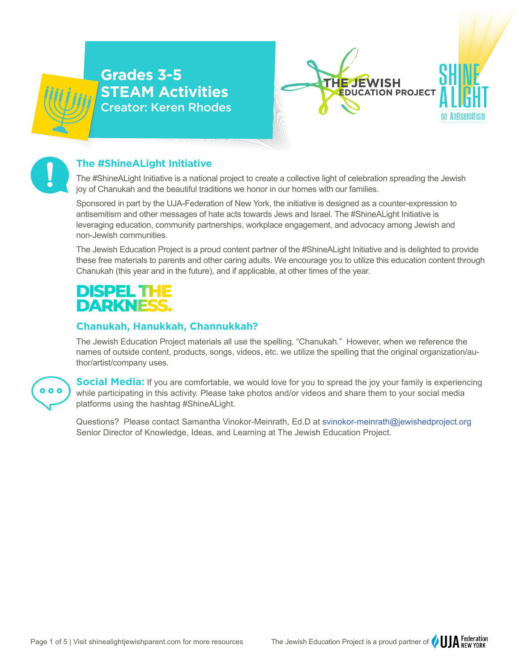



## **The #ShineALight Initiative**

The #ShineALight Initiative is a national project to create a collective light of celebration spreading the Jewish joy of Chanukah and the beautiful traditions we honor in our homes with our families.

Sponsored in part by the UJA-Federation of New York, the initiative is designed as a counter-expression to antisemitism and other messages of hate acts towards Jews and Israel. The #ShineALight Initiative is leveraging education, community partnerships, workplace engagement, and advocacy among Jewish and non-Jewish communities.

The Jewish Education Project is a proud content partner of the #ShineALight Initiative and is delighted to provide these free materials to parents and other caring adults. We encourage you to utilize this education content through Chanukah (this year and in the future), and if applicable, at other times of the year.

## DISPELTH **DARKNESS.**

## **Chanukah, Hanukkah, Channukkah?**

The Jewish Education Project materials all use the spelling, "Chanukah." However, when we reference the names of outside content, products, songs, videos, etc. we utilize the spelling that the original organization/author/artist/company uses.



**Social Media:** If you are comfortable, we would love for you to spread the joy your family is experiencing while participating in this activity. Please take photos and/or videos and share them to your social media platforms using the hashtag #ShineALight.

Questions? Please contact Samantha Vinokor-Meinrath, Ed.D at svinokor-meinrath@jewishedproject.org Senior Director of Knowledge, Ideas, and Learning at The Jewish Education Project.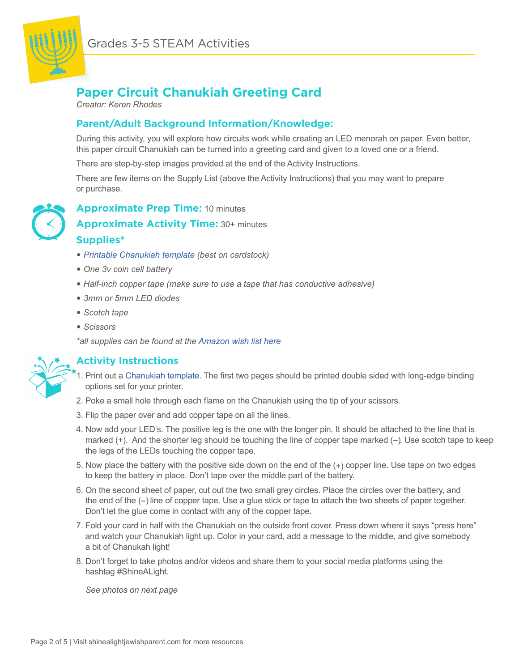

## **Paper Circuit Chanukiah Greeting Card**

*Creator: Keren Rhodes*

## **Parent/Adult Background Information/Knowledge:**

During this activity, you will explore how circuits work while creating an LED menorah on paper. Even better, this paper circuit Chanukiah can be turned into a greeting card and given to a loved one or a friend.

There are step-by-step images provided at the end of the Activity Instructions.

There are few items on the Supply List (above the Activity Instructions) that you may want to prepare or purchase.



**Approximate Prep Time:** 10 minutes

**Approximate Activity Time:** 30+ minutes

## **Supplies\***

- � *[Printable Chanukiah template](https://docs.google.com/presentation/d/1pZPBSwMS9yyGYYgSJQ3JrMsmOFMRNcpVaH2GhWqMK2U/edit#slide=id.p) (best on cardstock)*
- � *One 3v coin cell battery*
- � *Half-inch copper tape (make sure to use a tape that has conductive adhesive)*
- � *3mm or 5mm LED diodes*
- � *Scotch tape*
- � *Scissors*

*\*all supplies can be found at the [Amazon wish list here](https://www.amazon.com/hz/wishlist/ls/JEG4CP3OZAAH?ref_=wl_share)*



## **Activity Instructions**

- 1. Print out a [Chanukiah template](https://docs.google.com/presentation/d/1pZPBSwMS9yyGYYgSJQ3JrMsmOFMRNcpVaH2GhWqMK2U/edit#slide=id.p). The first two pages should be printed double sided with long-edge binding options set for your printer.
- 2. Poke a small hole through each flame on the Chanukiah using the tip of your scissors.
- 3. Flip the paper over and add copper tape on all the lines.
- 4. Now add your LED's. The positive leg is the one with the longer pin. It should be attached to the line that is marked  $(+)$ . And the shorter leg should be touching the line of copper tape marked  $(-)$ . Use scotch tape to keep the legs of the LEDs touching the copper tape.
- 5. Now place the battery with the positive side down on the end of the (+) copper line. Use tape on two edges to keep the battery in place. Don't tape over the middle part of the battery.
- 6. On the second sheet of paper, cut out the two small grey circles. Place the circles over the battery, and the end of the (--) line of copper tape. Use a glue stick or tape to attach the two sheets of paper together. Don't let the glue come in contact with any of the copper tape.
- 7. Fold your card in half with the Chanukiah on the outside front cover. Press down where it says "press here" and watch your Chanukiah light up. Color in your card, add a message to the middle, and give somebody a bit of Chanukah light!
- 8. Don't forget to take photos and/or videos and share them to your social media platforms using the hashtag #ShineALight.

 *See photos on next page*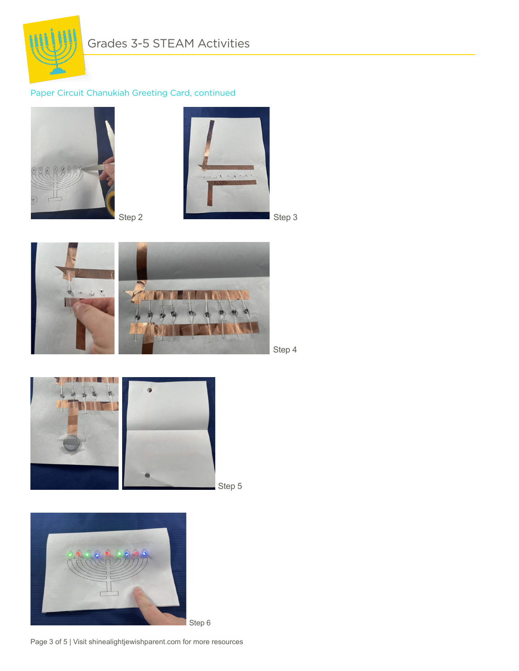

## Paper Circuit Chanukiah Greeting Card, continued









Step 5



Page 3 of 5 | Visit shinealightjewishparent.com for more resources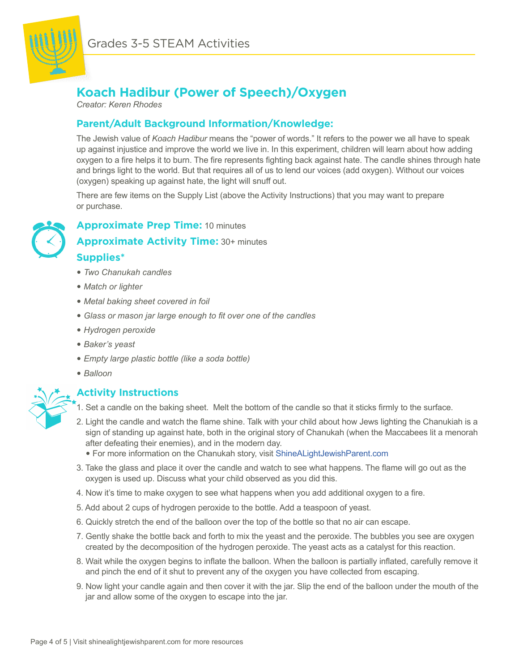

# **Koach Hadibur (Power of Speech)/Oxygen**

*Creator: Keren Rhodes*

## **Parent/Adult Background Information/Knowledge:**

The Jewish value of *Koach Hadibur* means the "power of words." It refers to the power we all have to speak up against injustice and improve the world we live in. In this experiment, children will learn about how adding oxygen to a fire helps it to burn. The fire represents fighting back against hate. The candle shines through hate and brings light to the world. But that requires all of us to lend our voices (add oxygen). Without our voices (oxygen) speaking up against hate, the light will snuff out.

There are few items on the Supply List (above the Activity Instructions) that you may want to prepare or purchase.

## **Approximate Prep Time:** 10 minutes

**Approximate Activity Time:** 30+ minutes

## **Supplies\***

- � *Two Chanukah candles*
- � *Match or lighter*
- � *Metal baking sheet covered in foil*
- � *Glass or mason jar large enough to fit over one of the candles*
- � *Hydrogen peroxide*
- � *Baker's yeast*
- � *Empty large plastic bottle (like a soda bottle)*
- � *Balloon*

## **Activity Instructions**

- 1. Set a candle on the baking sheet. Melt the bottom of the candle so that it sticks firmly to the surface.
- 2. Light the candle and watch the flame shine. Talk with your child about how Jews lighting the Chanukiah is a sign of standing up against hate, both in the original story of Chanukah (when the Maccabees lit a menorah after defeating their enemies), and in the modern day.
	- � For more information on the Chanukah story, visit [ShineALightJewishParent.com](https://shinealightjewishparent.com/chanukah-background-information-and-blessings/)
- 3. Take the glass and place it over the candle and watch to see what happens. The flame will go out as the oxygen is used up. Discuss what your child observed as you did this.
- 4. Now it's time to make oxygen to see what happens when you add additional oxygen to a fire.
- 5. Add about 2 cups of hydrogen peroxide to the bottle. Add a teaspoon of yeast.
- 6. Quickly stretch the end of the balloon over the top of the bottle so that no air can escape.
- 7. Gently shake the bottle back and forth to mix the yeast and the peroxide. The bubbles you see are oxygen created by the decomposition of the hydrogen peroxide. The yeast acts as a catalyst for this reaction.
- 8. Wait while the oxygen begins to inflate the balloon. When the balloon is partially inflated, carefully remove it and pinch the end of it shut to prevent any of the oxygen you have collected from escaping.
- 9. Now light your candle again and then cover it with the jar. Slip the end of the balloon under the mouth of the jar and allow some of the oxygen to escape into the jar.